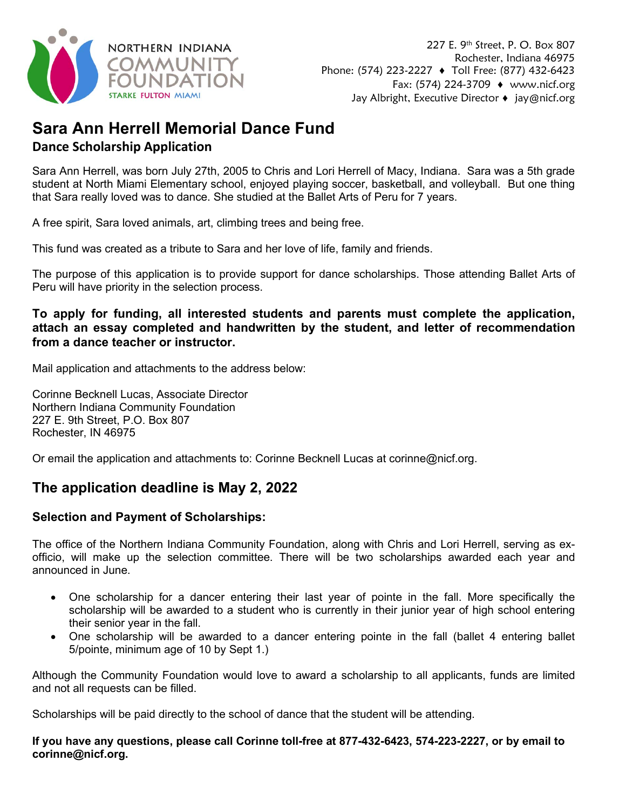

## **Sara Ann Herrell Memorial Dance Fund Dance Scholarship Application**

Sara Ann Herrell, was born July 27th, 2005 to Chris and Lori Herrell of Macy, Indiana. Sara was a 5th grade student at North Miami Elementary school, enjoyed playing soccer, basketball, and volleyball. But one thing that Sara really loved was to dance. She studied at the Ballet Arts of Peru for 7 years.

A free spirit, Sara loved animals, art, climbing trees and being free.

This fund was created as a tribute to Sara and her love of life, family and friends.

The purpose of this application is to provide support for dance scholarships. Those attending Ballet Arts of Peru will have priority in the selection process.

#### **To apply for funding, all interested students and parents must complete the application, attach an essay completed and handwritten by the student, and letter of recommendation from a dance teacher or instructor.**

Mail application and attachments to the address below:

Corinne Becknell Lucas, Associate Director Northern Indiana Community Foundation 227 E. 9th Street, P.O. Box 807 Rochester, IN 46975

Or email the application and attachments to: Corinne Becknell Lucas at corinne@nicf.org.

### **The application deadline is May 2, 2022**

#### **Selection and Payment of Scholarships:**

The office of the Northern Indiana Community Foundation, along with Chris and Lori Herrell, serving as exofficio, will make up the selection committee. There will be two scholarships awarded each year and announced in June.

- One scholarship for a dancer entering their last year of pointe in the fall. More specifically the scholarship will be awarded to a student who is currently in their junior year of high school entering their senior year in the fall.
- One scholarship will be awarded to a dancer entering pointe in the fall (ballet 4 entering ballet 5/pointe, minimum age of 10 by Sept 1.)

Although the Community Foundation would love to award a scholarship to all applicants, funds are limited and not all requests can be filled.

Scholarships will be paid directly to the school of dance that the student will be attending.

**If you have any questions, please call Corinne toll-free at 877-432-6423, 574-223-2227, or by email to corinne@nicf.org.**